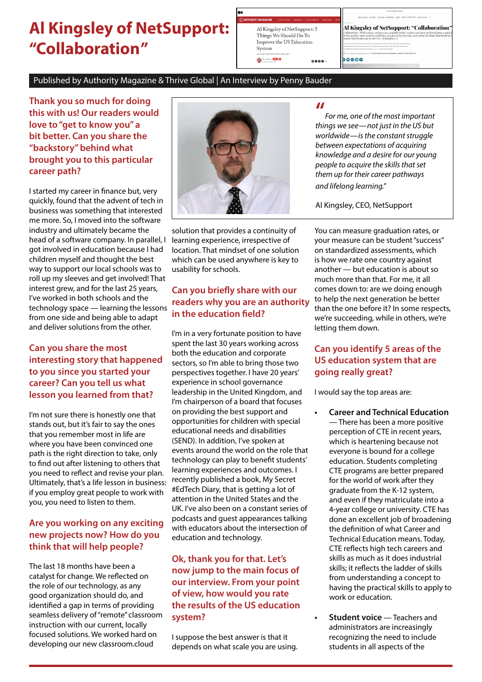# **Al Kingsley of NetSupport: "Collaboration"**

| <b>THORITY MAGAZINE</b>                    | <b>POP CULTURE</b> | <b>UUSINESS</b> | SOCIAL IMPACT | <b>WILLS</b> |
|--------------------------------------------|--------------------|-----------------|---------------|--------------|
| Al Kingsley of NetSupport: 5               |                    |                 |               |              |
| Things We Should Do To                     |                    |                 |               |              |
| Improve the US Education                   |                    |                 |               |              |
| System                                     |                    |                 |               |              |
| An Interview With Penny Bauder             |                    |                 |               |              |
| <b>Sterry Beader</b> (2000) <b>Company</b> |                    |                 | 0000          |              |
|                                            |                    |                 |               |              |
|                                            |                    |                 |               |              |

Al Kingsley of NetSupport: "Collaboration" und ideas. As a part of  $00000$ 

#### Published by Authority Magazine & Thrive Global | An Interview by Penny Bauder

**Thank you so much for doing this with us! Our readers would love to "get to know you" a bit better. Can you share the "backstory" behind what brought you to this particular career path?**

I started my career in finance but, very quickly, found that the advent of tech in business was something that interested me more. So, I moved into the software industry and ultimately became the head of a software company. In parallel, I got involved in education because I had children myself and thought the best way to support our local schools was to roll up my sleeves and get involved! That interest grew, and for the last 25 years, I've worked in both schools and the technology space — learning the lessons from one side and being able to adapt and deliver solutions from the other.

#### **Can you share the most interesting story that happened to you since you started your career? Can you tell us what lesson you learned from that?**

I'm not sure there is honestly one that stands out, but it's fair to say the ones that you remember most in life are where you have been convinced one path is the right direction to take, only to find out after listening to others that you need to reflect and revise your plan. Ultimately, that's a life lesson in business: if you employ great people to work with you, you need to listen to them.

#### **Are you working on any exciting new projects now? How do you think that will help people?**

The last 18 months have been a catalyst for change. We reflected on the role of our technology, as any good organization should do, and identified a gap in terms of providing seamless delivery of "remote" classroom instruction with our current, locally focused solutions. We worked hard on developing our new classroom.cloud



solution that provides a continuity of learning experience, irrespective of location. That mindset of one solution which can be used anywhere is key to usability for schools.

# **Can you briefly share with our readers why you are an authority in the education field?**

I'm in a very fortunate position to have spent the last 30 years working across both the education and corporate sectors, so I'm able to bring those two perspectives together. I have 20 years' experience in school governance leadership in the United Kingdom, and I'm chairperson of a board that focuses on providing the best support and opportunities for children with special educational needs and disabilities (SEND). In addition, I've spoken at events around the world on the role that technology can play to benefit students' learning experiences and outcomes. I recently published a book, My Secret #EdTech Diary, that is getting a lot of attention in the United States and the UK. I've also been on a constant series of podcasts and guest appearances talking with educators about the intersection of education and technology.

## **Ok, thank you for that. Let's now jump to the main focus of our interview. From your point of view, how would you rate the results of the US education system?**

I suppose the best answer is that it depends on what scale you are using.

#### **"**

*For me, one of the most important things we see—not just in the US but worldwide—is the constant struggle between expectations of acquiring knowledge and a desire for our young people to acquire the skills that set them up for their career pathways and lifelong learning."*

Al Kingsley, CEO, NetSupport

You can measure graduation rates, or your measure can be student "success" on standardized assessments, which is how we rate one country against another — but education is about so much more than that. For me, it all comes down to: are we doing enough to help the next generation be better than the one before it? In some respects, we're succeeding, while in others, we're letting them down.

## **Can you identify 5 areas of the US education system that are going really great?**

I would say the top areas are:

- **• Career and Technical Education** — There has been a more positive perception of CTE in recent years, which is heartening because not everyone is bound for a college education. Students completing CTE programs are better prepared for the world of work after they graduate from the K-12 system, and even if they matriculate into a 4-year college or university. CTE has done an excellent job of broadening the definition of what Career and Technical Education means. Today, CTE reflects high tech careers and skills as much as it does industrial skills; it reflects the ladder of skills from understanding a concept to having the practical skills to apply to work or education.
	- **• Student voice** Teachers and administrators are increasingly recognizing the need to include students in all aspects of the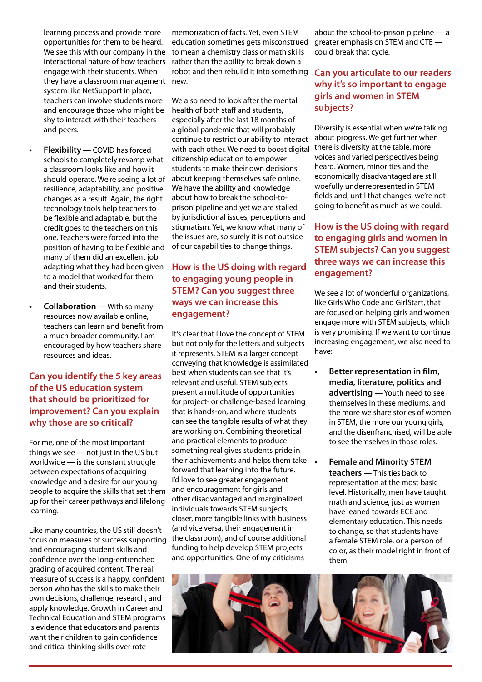- learning process and provide more opportunities for them to be heard. We see this with our company in the interactional nature of how teachers engage with their students. When they have a classroom management system like NetSupport in place, teachers can involve students more and encourage those who might be shy to interact with their teachers and peers.
- **• Flexibility** COVID has forced schools to completely revamp what a classroom looks like and how it should operate. We're seeing a lot of resilience, adaptability, and positive changes as a result. Again, the right technology tools help teachers to be flexible and adaptable, but the credit goes to the teachers on this one. Teachers were forced into the position of having to be flexible and many of them did an excellent job adapting what they had been given to a model that worked for them and their students.
- **• Collaboration** With so many resources now available online, teachers can learn and benefit from a much broader community. I am encouraged by how teachers share resources and ideas.

#### **Can you identify the 5 key areas of the US education system that should be prioritized for improvement? Can you explain why those are so critical?**

For me, one of the most important things we see — not just in the US but worldwide — is the constant struggle between expectations of acquiring knowledge and a desire for our young people to acquire the skills that set them up for their career pathways and lifelong learning.

Like many countries, the US still doesn't focus on measures of success supporting and encouraging student skills and confidence over the long-entrenched grading of acquired content. The real measure of success is a happy, confident person who has the skills to make their own decisions, challenge, research, and apply knowledge. Growth in Career and Technical Education and STEM programs is evidence that educators and parents want their children to gain confidence and critical thinking skills over rote

memorization of facts. Yet, even STEM education sometimes gets misconstrued to mean a chemistry class or math skills rather than the ability to break down a robot and then rebuild it into something new.

We also need to look after the mental health of both staff and students, especially after the last 18 months of a global pandemic that will probably continue to restrict our ability to interact with each other. We need to boost digital citizenship education to empower students to make their own decisions about keeping themselves safe online. We have the ability and knowledge about how to break the 'school-toprison' pipeline and yet we are stalled by jurisdictional issues, perceptions and stigmatism. Yet, we know what many of the issues are, so surely it is not outside of our capabilities to change things.

#### **How is the US doing with regard to engaging young people in STEM? Can you suggest three ways we can increase this engagement?**

It's clear that I love the concept of STEM but not only for the letters and subjects it represents. STEM is a larger concept conveying that knowledge is assimilated best when students can see that it's relevant and useful. STEM subjects present a multitude of opportunities for project- or challenge-based learning that is hands-on, and where students can see the tangible results of what they are working on. Combining theoretical and practical elements to produce something real gives students pride in their achievements and helps them take forward that learning into the future. I'd love to see greater engagement and encouragement for girls and other disadvantaged and marginalized individuals towards STEM subjects, closer, more tangible links with business (and vice versa, their engagement in the classroom), and of course additional funding to help develop STEM projects and opportunities. One of my criticisms

about the school-to-prison pipeline — a greater emphasis on STEM and CTE could break that cycle.

#### **Can you articulate to our readers why it's so important to engage girls and women in STEM subjects?**

Diversity is essential when we're talking about progress. We get further when there is diversity at the table, more voices and varied perspectives being heard. Women, minorities and the economically disadvantaged are still woefully underrepresented in STEM fields and, until that changes, we're not going to benefit as much as we could.

# **How is the US doing with regard to engaging girls and women in STEM subjects? Can you suggest three ways we can increase this engagement?**

We see a lot of wonderful organizations, like Girls Who Code and GirlStart, that are focused on helping girls and women engage more with STEM subjects, which is very promising. If we want to continue increasing engagement, we also need to have:

- **• Better representation in film, media, literature, politics and advertising** — Youth need to see themselves in these mediums, and the more we share stories of women in STEM, the more our young girls, and the disenfranchised, will be able to see themselves in those roles.
- **• Female and Minority STEM teachers** — This ties back to representation at the most basic level. Historically, men have taught math and science, just as women have leaned towards ECE and elementary education. This needs to change, so that students have a female STEM role, or a person of color, as their model right in front of them.